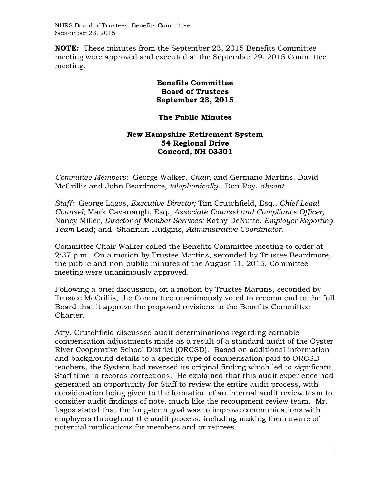NHRS Board of Trustees, Benefits Committee September 23, 2015

**NOTE:** These minutes from the September 23, 2015 Benefits Committee meeting were approved and executed at the September 29, 2015 Committee meeting.

## **Benefits Committee Board of Trustees September 23, 2015**

## **The Public Minutes**

## **New Hampshire Retirement System 54 Regional Drive Concord, NH 03301**

*Committee Members:* George Walker, *Chair*, and Germano Martins. David McCrillis and John Beardmore, *telephonically.* Don Roy, *absent*.

*Staff:* George Lagos, *Executive Director;* Tim Crutchfield, Esq., *Chief Legal Counsel;* Mark Cavanaugh, Esq.*, Associate Counsel and Compliance Officer;*  Nancy Miller, *Director of Member Services;* Kathy DeNutte, *Employer Reporting Team* Lead; and, Shannan Hudgins, *Administrative Coordinator*.

Committee Chair Walker called the Benefits Committee meeting to order at 2:37 p.m. On a motion by Trustee Martins, seconded by Trustee Beardmore, the public and non-public minutes of the August 11, 2015, Committee meeting were unanimously approved.

Following a brief discussion, on a motion by Trustee Martins, seconded by Trustee McCrillis, the Committee unanimously voted to recommend to the full Board that it approve the proposed revisions to the Benefits Committee Charter.

Atty. Crutchfield discussed audit determinations regarding earnable compensation adjustments made as a result of a standard audit of the Oyster River Cooperative School District (ORCSD). Based on additional information and background details to a specific type of compensation paid to ORCSD teachers, the System had reversed its original finding which led to significant Staff time in records corrections. He explained that this audit experience had generated an opportunity for Staff to review the entire audit process, with consideration being given to the formation of an internal audit review team to consider audit findings of note, much like the recoupment review team. Mr. Lagos stated that the long-term goal was to improve communications with employers throughout the audit process, including making them aware of potential implications for members and or retirees.